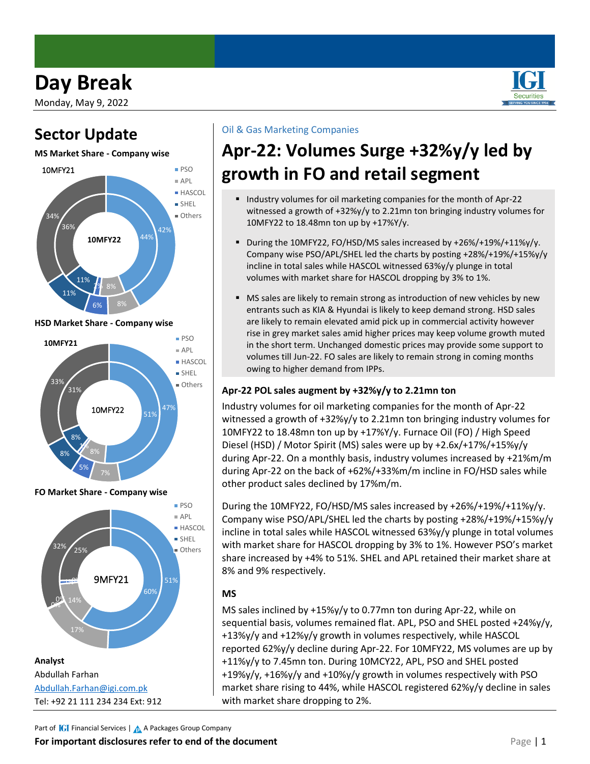# **Day Break**

Monday, May 9, 2022

### **Sector Update**

#### **MS Market Share - Company wise**



**HSD Market Share - Company wise**



**FO Market Share - Company wise**



#### Oil & Gas Marketing Companies

# **Apr-22: Volumes Surge +32%y/y led by growth in FO and retail segment**

- Industry volumes for oil marketing companies for the month of Apr-22 witnessed a growth of +32%y/y to 2.21mn ton bringing industry volumes for 10MFY22 to 18.48mn ton up by +17%Y/y.
- During the 10MFY22, FO/HSD/MS sales increased by +26%/+19%/+11%y/y. Company wise PSO/APL/SHEL led the charts by posting +28%/+19%/+15%y/y incline in total sales while HASCOL witnessed 63%y/y plunge in total volumes with market share for HASCOL dropping by 3% to 1%.
- MS sales are likely to remain strong as introduction of new vehicles by new entrants such as KIA & Hyundai is likely to keep demand strong. HSD sales are likely to remain elevated amid pick up in commercial activity however rise in grey market sales amid higher prices may keep volume growth muted in the short term. Unchanged domestic prices may provide some support to volumes till Jun-22. FO sales are likely to remain strong in coming months owing to higher demand from IPPs.

### **Apr-22 POL sales augment by +32%y/y to 2.21mn ton**

Industry volumes for oil marketing companies for the month of Apr-22 witnessed a growth of +32%y/y to 2.21mn ton bringing industry volumes for 10MFY22 to 18.48mn ton up by +17%Y/y. Furnace Oil (FO) / High Speed Diesel (HSD) / Motor Spirit (MS) sales were up by +2.6x/+17%/+15%y/y during Apr-22. On a monthly basis, industry volumes increased by +21%m/m during Apr-22 on the back of +62%/+33%m/m incline in FO/HSD sales while other product sales declined by 17%m/m.

During the 10MFY22, FO/HSD/MS sales increased by +26%/+19%/+11%y/y. Company wise PSO/APL/SHEL led the charts by posting +28%/+19%/+15%y/y incline in total sales while HASCOL witnessed 63%y/y plunge in total volumes with market share for HASCOL dropping by 3% to 1%. However PSO's market share increased by +4% to 51%. SHEL and APL retained their market share at 8% and 9% respectively.

### **MS**

MS sales inclined by +15%y/y to 0.77mn ton during Apr-22, while on sequential basis, volumes remained flat. APL, PSO and SHEL posted +24%y/y, +13%y/y and +12%y/y growth in volumes respectively, while HASCOL reported 62%y/y decline during Apr-22. For 10MFY22, MS volumes are up by +11%y/y to 7.45mn ton. During 10MCY22, APL, PSO and SHEL posted +19%y/y, +16%y/y and +10%y/y growth in volumes respectively with PSO market share rising to 44%, while HASCOL registered 62%y/y decline in sales with market share dropping to 2%.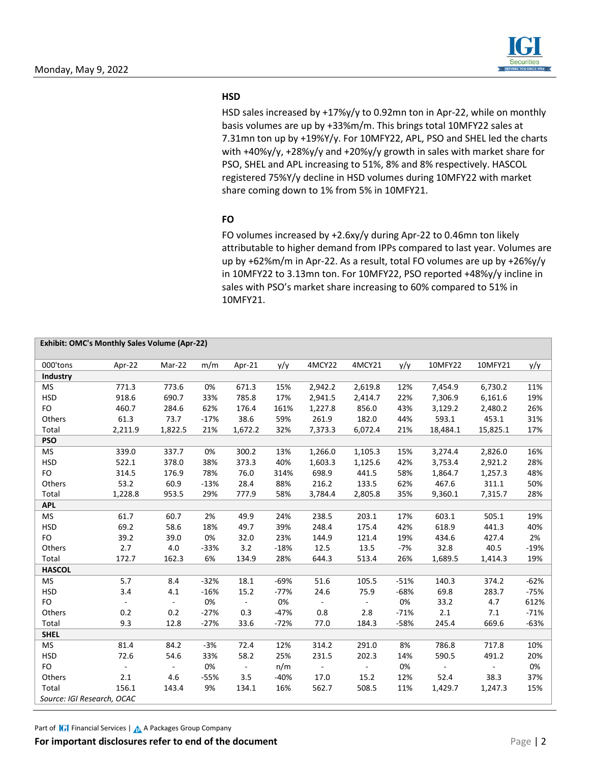

#### **HSD**

HSD sales increased by +17%y/y to 0.92mn ton in Apr-22, while on monthly basis volumes are up by +33%m/m. This brings total 10MFY22 sales at 7.31mn ton up by +19%Y/y. For 10MFY22, APL, PSO and SHEL led the charts with +40%y/y, +28%y/y and +20%y/y growth in sales with market share for PSO, SHEL and APL increasing to 51%, 8% and 8% respectively. HASCOL registered 75%Y/y decline in HSD volumes during 10MFY22 with market share coming down to 1% from 5% in 10MFY21.

#### **FO**

FO volumes increased by +2.6xy/y during Apr-22 to 0.46mn ton likely attributable to higher demand from IPPs compared to last year. Volumes are up by +62%m/m in Apr-22. As a result, total FO volumes are up by +26%y/y in 10MFY22 to 3.13mn ton. For 10MFY22, PSO reported +48%y/y incline in sales with PSO's market share increasing to 60% compared to 51% in 10MFY21.

| Exhibit: OMC's Monthly Sales Volume (Apr-22) |                |                          |        |                |        |                |                          |        |          |          |        |
|----------------------------------------------|----------------|--------------------------|--------|----------------|--------|----------------|--------------------------|--------|----------|----------|--------|
| 000'tons                                     | Apr-22         | Mar-22                   | m/m    | Apr-21         | y/y    | 4MCY22         | 4MCY21                   | y/y    | 10MFY22  | 10MFY21  | y/y    |
| Industry                                     |                |                          |        |                |        |                |                          |        |          |          |        |
| <b>MS</b>                                    | 771.3          | 773.6                    | 0%     | 671.3          | 15%    | 2,942.2        | 2,619.8                  | 12%    | 7,454.9  | 6,730.2  | 11%    |
| <b>HSD</b>                                   | 918.6          | 690.7                    | 33%    | 785.8          | 17%    | 2,941.5        | 2,414.7                  | 22%    | 7,306.9  | 6,161.6  | 19%    |
| FO                                           | 460.7          | 284.6                    | 62%    | 176.4          | 161%   | 1,227.8        | 856.0                    | 43%    | 3,129.2  | 2,480.2  | 26%    |
| Others                                       | 61.3           | 73.7                     | $-17%$ | 38.6           | 59%    | 261.9          | 182.0                    | 44%    | 593.1    | 453.1    | 31%    |
| Total                                        | 2,211.9        | 1,822.5                  | 21%    | 1,672.2        | 32%    | 7,373.3        | 6,072.4                  | 21%    | 18,484.1 | 15,825.1 | 17%    |
| <b>PSO</b>                                   |                |                          |        |                |        |                |                          |        |          |          |        |
| <b>MS</b>                                    | 339.0          | 337.7                    | 0%     | 300.2          | 13%    | 1,266.0        | 1,105.3                  | 15%    | 3,274.4  | 2,826.0  | 16%    |
| <b>HSD</b>                                   | 522.1          | 378.0                    | 38%    | 373.3          | 40%    | 1,603.3        | 1,125.6                  | 42%    | 3,753.4  | 2,921.2  | 28%    |
| FO                                           | 314.5          | 176.9                    | 78%    | 76.0           | 314%   | 698.9          | 441.5                    | 58%    | 1,864.7  | 1,257.3  | 48%    |
| Others                                       | 53.2           | 60.9                     | $-13%$ | 28.4           | 88%    | 216.2          | 133.5                    | 62%    | 467.6    | 311.1    | 50%    |
| Total                                        | 1,228.8        | 953.5                    | 29%    | 777.9          | 58%    | 3,784.4        | 2,805.8                  | 35%    | 9,360.1  | 7,315.7  | 28%    |
| <b>APL</b>                                   |                |                          |        |                |        |                |                          |        |          |          |        |
| <b>MS</b>                                    | 61.7           | 60.7                     | 2%     | 49.9           | 24%    | 238.5          | 203.1                    | 17%    | 603.1    | 505.1    | 19%    |
| <b>HSD</b>                                   | 69.2           | 58.6                     | 18%    | 49.7           | 39%    | 248.4          | 175.4                    | 42%    | 618.9    | 441.3    | 40%    |
| FO                                           | 39.2           | 39.0                     | 0%     | 32.0           | 23%    | 144.9          | 121.4                    | 19%    | 434.6    | 427.4    | 2%     |
| Others                                       | 2.7            | 4.0                      | $-33%$ | 3.2            | $-18%$ | 12.5           | 13.5                     | $-7%$  | 32.8     | 40.5     | $-19%$ |
| Total                                        | 172.7          | 162.3                    | 6%     | 134.9          | 28%    | 644.3          | 513.4                    | 26%    | 1,689.5  | 1,414.3  | 19%    |
| <b>HASCOL</b>                                |                |                          |        |                |        |                |                          |        |          |          |        |
| <b>MS</b>                                    | 5.7            | 8.4                      | $-32%$ | 18.1           | $-69%$ | 51.6           | 105.5                    | $-51%$ | 140.3    | 374.2    | $-62%$ |
| <b>HSD</b>                                   | 3.4            | 4.1                      | $-16%$ | 15.2           | $-77%$ | 24.6           | 75.9                     | $-68%$ | 69.8     | 283.7    | $-75%$ |
| FO                                           | $\blacksquare$ | $\overline{\phantom{a}}$ | 0%     | $\sim$         | 0%     | $\blacksquare$ | $\overline{\phantom{a}}$ | 0%     | 33.2     | 4.7      | 612%   |
| Others                                       | 0.2            | 0.2                      | $-27%$ | 0.3            | $-47%$ | 0.8            | 2.8                      | $-71%$ | 2.1      | 7.1      | $-71%$ |
| Total                                        | 9.3            | 12.8                     | $-27%$ | 33.6           | $-72%$ | 77.0           | 184.3                    | $-58%$ | 245.4    | 669.6    | $-63%$ |
| <b>SHEL</b>                                  |                |                          |        |                |        |                |                          |        |          |          |        |
| <b>MS</b>                                    | 81.4           | 84.2                     | $-3%$  | 72.4           | 12%    | 314.2          | 291.0                    | 8%     | 786.8    | 717.8    | 10%    |
| <b>HSD</b>                                   | 72.6           | 54.6                     | 33%    | 58.2           | 25%    | 231.5          | 202.3                    | 14%    | 590.5    | 491.2    | 20%    |
| FO                                           | $\blacksquare$ | $\overline{\phantom{a}}$ | 0%     | $\blacksquare$ | n/m    | $\blacksquare$ | $\overline{\phantom{a}}$ | 0%     | ä,       |          | 0%     |
| Others                                       | 2.1            | 4.6                      | $-55%$ | 3.5            | $-40%$ | 17.0           | 15.2                     | 12%    | 52.4     | 38.3     | 37%    |
| Total                                        | 156.1          | 143.4                    | 9%     | 134.1          | 16%    | 562.7          | 508.5                    | 11%    | 1,429.7  | 1,247.3  | 15%    |
| Source: IGI Research, OCAC                   |                |                          |        |                |        |                |                          |        |          |          |        |

Part of **IGI** Financial Services | A A Packages Group Company

**For important disclosures refer to end of the document** Page | 2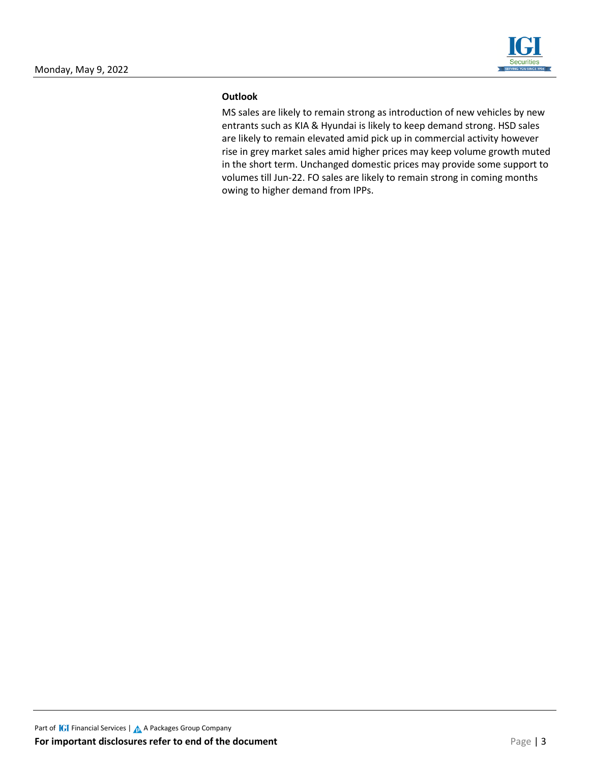

#### **Outlook**

MS sales are likely to remain strong as introduction of new vehicles by new entrants such as KIA & Hyundai is likely to keep demand strong. HSD sales are likely to remain elevated amid pick up in commercial activity however rise in grey market sales amid higher prices may keep volume growth muted in the short term. Unchanged domestic prices may provide some support to volumes till Jun-22. FO sales are likely to remain strong in coming months owing to higher demand from IPPs.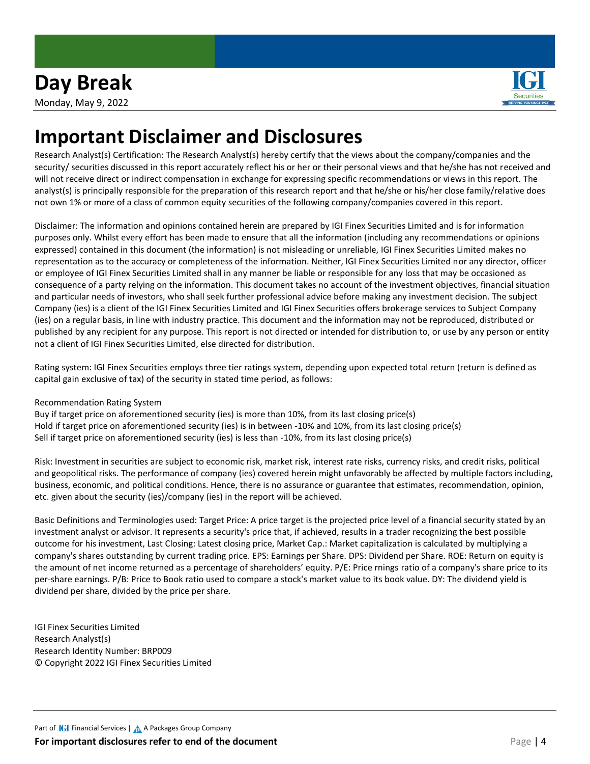

## **Important Disclaimer and Disclosures**

Research Analyst(s) Certification: The Research Analyst(s) hereby certify that the views about the company/companies and the security/ securities discussed in this report accurately reflect his or her or their personal views and that he/she has not received and will not receive direct or indirect compensation in exchange for expressing specific recommendations or views in this report. The analyst(s) is principally responsible for the preparation of this research report and that he/she or his/her close family/relative does not own 1% or more of a class of common equity securities of the following company/companies covered in this report.

Disclaimer: The information and opinions contained herein are prepared by IGI Finex Securities Limited and is for information purposes only. Whilst every effort has been made to ensure that all the information (including any recommendations or opinions expressed) contained in this document (the information) is not misleading or unreliable, IGI Finex Securities Limited makes no representation as to the accuracy or completeness of the information. Neither, IGI Finex Securities Limited nor any director, officer or employee of IGI Finex Securities Limited shall in any manner be liable or responsible for any loss that may be occasioned as consequence of a party relying on the information. This document takes no account of the investment objectives, financial situation and particular needs of investors, who shall seek further professional advice before making any investment decision. The subject Company (ies) is a client of the IGI Finex Securities Limited and IGI Finex Securities offers brokerage services to Subject Company (ies) on a regular basis, in line with industry practice. This document and the information may not be reproduced, distributed or published by any recipient for any purpose. This report is not directed or intended for distribution to, or use by any person or entity not a client of IGI Finex Securities Limited, else directed for distribution.

Rating system: IGI Finex Securities employs three tier ratings system, depending upon expected total return (return is defined as capital gain exclusive of tax) of the security in stated time period, as follows:

Recommendation Rating System

Buy if target price on aforementioned security (ies) is more than 10%, from its last closing price(s) Hold if target price on aforementioned security (ies) is in between -10% and 10%, from its last closing price(s) Sell if target price on aforementioned security (ies) is less than -10%, from its last closing price(s)

Risk: Investment in securities are subject to economic risk, market risk, interest rate risks, currency risks, and credit risks, political and geopolitical risks. The performance of company (ies) covered herein might unfavorably be affected by multiple factors including, business, economic, and political conditions. Hence, there is no assurance or guarantee that estimates, recommendation, opinion, etc. given about the security (ies)/company (ies) in the report will be achieved.

Basic Definitions and Terminologies used: Target Price: A price target is the projected price level of a financial security stated by an investment analyst or advisor. It represents a security's price that, if achieved, results in a trader recognizing the best possible outcome for his investment, Last Closing: Latest closing price, Market Cap.: Market capitalization is calculated by multiplying a company's shares outstanding by current trading price. EPS: Earnings per Share. DPS: Dividend per Share. ROE: Return on equity is the amount of net income returned as a percentage of shareholders' equity. P/E: Price rnings ratio of a company's share price to its per-share earnings. P/B: Price to Book ratio used to compare a stock's market value to its book value. DY: The dividend yield is dividend per share, divided by the price per share.

IGI Finex Securities Limited Research Analyst(s) Research Identity Number: BRP009 © Copyright 2022 IGI Finex Securities Limited